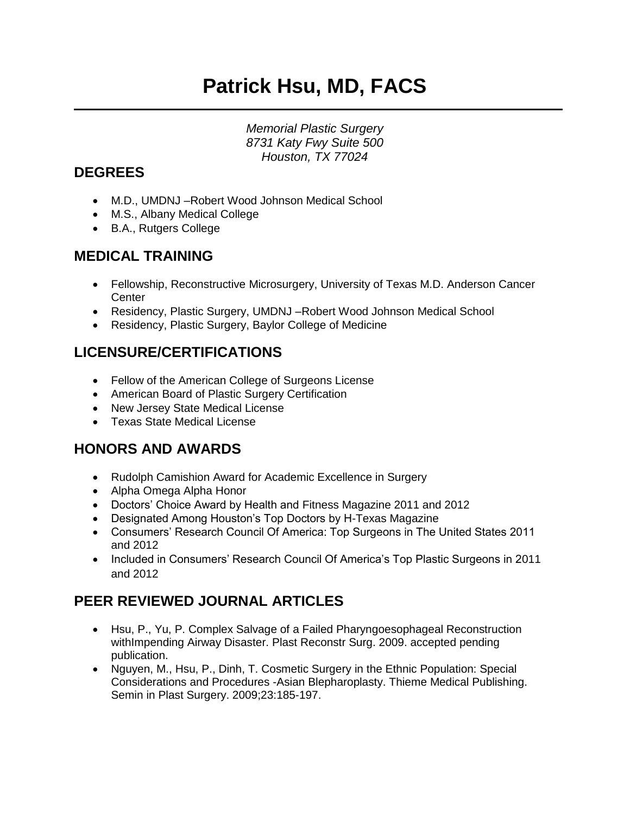# **Patrick Hsu, MD, FACS**

*Memorial Plastic Surgery 8731 Katy Fwy Suite 500 Houston, TX 77024*

#### **DEGREES**

- M.D., UMDNJ –Robert Wood Johnson Medical School
- M.S., Albany Medical College
- B.A., Rutgers College

#### **MEDICAL TRAINING**

- Fellowship, Reconstructive Microsurgery, University of Texas M.D. Anderson Cancer **Center**
- Residency, Plastic Surgery, UMDNJ –Robert Wood Johnson Medical School
- Residency, Plastic Surgery, Baylor College of Medicine

## **LICENSURE/CERTIFICATIONS**

- Fellow of the American College of Surgeons License
- American Board of Plastic Surgery Certification
- New Jersey State Medical License
- Texas State Medical License

### **HONORS AND AWARDS**

- Rudolph Camishion Award for Academic Excellence in Surgery
- Alpha Omega Alpha Honor
- Doctors' Choice Award by Health and Fitness Magazine 2011 and 2012
- Designated Among Houston's Top Doctors by H-Texas Magazine
- Consumers' Research Council Of America: Top Surgeons in The United States 2011 and 2012
- Included in Consumers' Research Council Of America's Top Plastic Surgeons in 2011 and 2012

## **PEER REVIEWED JOURNAL ARTICLES**

- Hsu, P., Yu, P. Complex Salvage of a Failed Pharyngoesophageal Reconstruction withImpending Airway Disaster. Plast Reconstr Surg. 2009. accepted pending publication.
- Nguyen, M., Hsu, P., Dinh, T. Cosmetic Surgery in the Ethnic Population: Special Considerations and Procedures -Asian Blepharoplasty. Thieme Medical Publishing. Semin in Plast Surgery. 2009;23:185-197.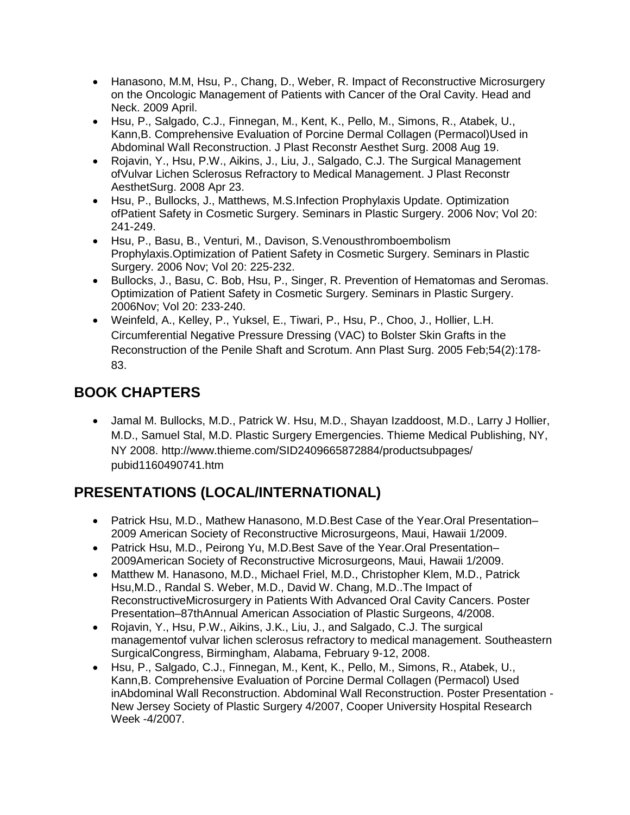- Hanasono, M.M, Hsu, P., Chang, D., Weber, R. Impact of Reconstructive Microsurgery on the Oncologic Management of Patients with Cancer of the Oral Cavity. Head and Neck. 2009 April.
- Hsu, P., Salgado, C.J., Finnegan, M., Kent, K., Pello, M., Simons, R., Atabek, U., Kann,B. Comprehensive Evaluation of Porcine Dermal Collagen (Permacol)Used in Abdominal Wall Reconstruction. J Plast Reconstr Aesthet Surg. 2008 Aug 19.
- Rojavin, Y., Hsu, P.W., Aikins, J., Liu, J., Salgado, C.J. The Surgical Management ofVulvar Lichen Sclerosus Refractory to Medical Management. J Plast Reconstr AesthetSurg. 2008 Apr 23.
- Hsu, P., Bullocks, J., Matthews, M.S.Infection Prophylaxis Update. Optimization ofPatient Safety in Cosmetic Surgery. Seminars in Plastic Surgery. 2006 Nov; Vol 20: 241-249.
- Hsu, P., Basu, B., Venturi, M., Davison, S.Venousthromboembolism Prophylaxis.Optimization of Patient Safety in Cosmetic Surgery. Seminars in Plastic Surgery. 2006 Nov; Vol 20: 225-232.
- Bullocks, J., Basu, C. Bob, Hsu, P., Singer, R. Prevention of Hematomas and Seromas. Optimization of Patient Safety in Cosmetic Surgery. Seminars in Plastic Surgery. 2006Nov; Vol 20: 233-240.
- Weinfeld, A., Kelley, P., Yuksel, E., Tiwari, P., Hsu, P., Choo, J., Hollier, L.H. Circumferential Negative Pressure Dressing (VAC) to Bolster Skin Grafts in the Reconstruction of the Penile Shaft and Scrotum. Ann Plast Surg. 2005 Feb;54(2):178- 83.

## **BOOK CHAPTERS**

• Jamal M. Bullocks, M.D., Patrick W. Hsu, M.D., Shayan Izaddoost, M.D., Larry J Hollier, M.D., Samuel Stal, M.D. Plastic Surgery Emergencies. Thieme Medical Publishing, NY, NY 2008. http://www.thieme.com/SID2409665872884/productsubpages/ pubid1160490741.htm

## **PRESENTATIONS (LOCAL/INTERNATIONAL)**

- Patrick Hsu, M.D., Mathew Hanasono, M.D.Best Case of the Year.Oral Presentation– 2009 American Society of Reconstructive Microsurgeons, Maui, Hawaii 1/2009.
- Patrick Hsu, M.D., Peirong Yu, M.D.Best Save of the Year.Oral Presentation– 2009American Society of Reconstructive Microsurgeons, Maui, Hawaii 1/2009.
- Matthew M. Hanasono, M.D., Michael Friel, M.D., Christopher Klem, M.D., Patrick Hsu,M.D., Randal S. Weber, M.D., David W. Chang, M.D..The Impact of ReconstructiveMicrosurgery in Patients With Advanced Oral Cavity Cancers. Poster Presentation–87thAnnual American Association of Plastic Surgeons, 4/2008.
- Rojavin, Y., Hsu, P.W., Aikins, J.K., Liu, J., and Salgado, C.J. The surgical managementof vulvar lichen sclerosus refractory to medical management. Southeastern SurgicalCongress, Birmingham, Alabama, February 9-12, 2008.
- Hsu, P., Salgado, C.J., Finnegan, M., Kent, K., Pello, M., Simons, R., Atabek, U., Kann,B. Comprehensive Evaluation of Porcine Dermal Collagen (Permacol) Used inAbdominal Wall Reconstruction. Abdominal Wall Reconstruction. Poster Presentation - New Jersey Society of Plastic Surgery 4/2007, Cooper University Hospital Research Week -4/2007.